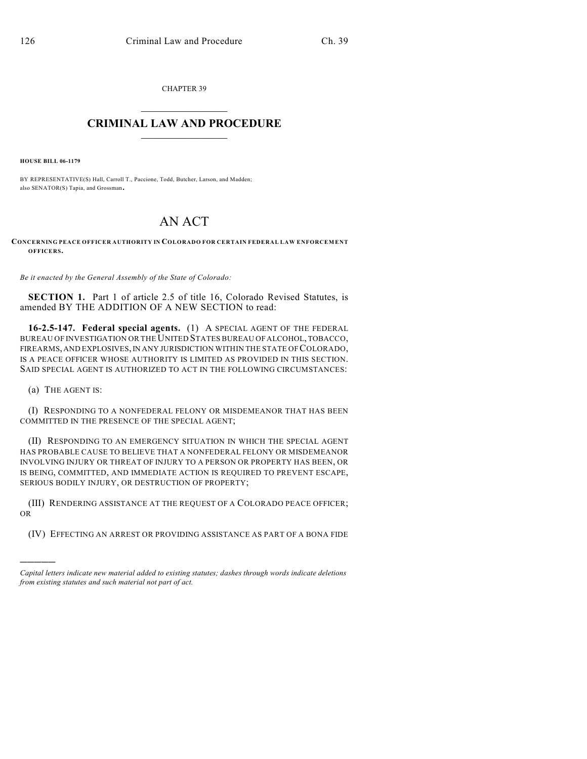CHAPTER 39  $\mathcal{L}_\text{max}$  . The set of the set of the set of the set of the set of the set of the set of the set of the set of the set of the set of the set of the set of the set of the set of the set of the set of the set of the set

## **CRIMINAL LAW AND PROCEDURE**  $\frac{1}{2}$  ,  $\frac{1}{2}$  ,  $\frac{1}{2}$  ,  $\frac{1}{2}$  ,  $\frac{1}{2}$  ,  $\frac{1}{2}$  ,  $\frac{1}{2}$

**HOUSE BILL 06-1179**

BY REPRESENTATIVE(S) Hall, Carroll T., Paccione, Todd, Butcher, Larson, and Madden; also SENATOR(S) Tapia, and Grossman.

## AN ACT

**CONCERNING PEACE OFFICER AUTHORITY IN COLORADO FOR CERTAIN FEDERAL LAW ENFORCEMENT OFFICERS.**

*Be it enacted by the General Assembly of the State of Colorado:*

**SECTION 1.** Part 1 of article 2.5 of title 16, Colorado Revised Statutes, is amended BY THE ADDITION OF A NEW SECTION to read:

**16-2.5-147. Federal special agents.** (1) A SPECIAL AGENT OF THE FEDERAL BUREAU OF INVESTIGATION OR THE UNITED STATES BUREAU OF ALCOHOL, TOBACCO, FIREARMS, AND EXPLOSIVES, IN ANY JURISDICTION WITHIN THE STATE OF COLORADO, IS A PEACE OFFICER WHOSE AUTHORITY IS LIMITED AS PROVIDED IN THIS SECTION. SAID SPECIAL AGENT IS AUTHORIZED TO ACT IN THE FOLLOWING CIRCUMSTANCES:

(a) THE AGENT IS:

)))))

(I) RESPONDING TO A NONFEDERAL FELONY OR MISDEMEANOR THAT HAS BEEN COMMITTED IN THE PRESENCE OF THE SPECIAL AGENT;

(II) RESPONDING TO AN EMERGENCY SITUATION IN WHICH THE SPECIAL AGENT HAS PROBABLE CAUSE TO BELIEVE THAT A NONFEDERAL FELONY OR MISDEMEANOR INVOLVING INJURY OR THREAT OF INJURY TO A PERSON OR PROPERTY HAS BEEN, OR IS BEING, COMMITTED, AND IMMEDIATE ACTION IS REQUIRED TO PREVENT ESCAPE, SERIOUS BODILY INJURY, OR DESTRUCTION OF PROPERTY;

(III) RENDERING ASSISTANCE AT THE REQUEST OF A COLORADO PEACE OFFICER; OR

(IV) EFFECTING AN ARREST OR PROVIDING ASSISTANCE AS PART OF A BONA FIDE

*Capital letters indicate new material added to existing statutes; dashes through words indicate deletions from existing statutes and such material not part of act.*